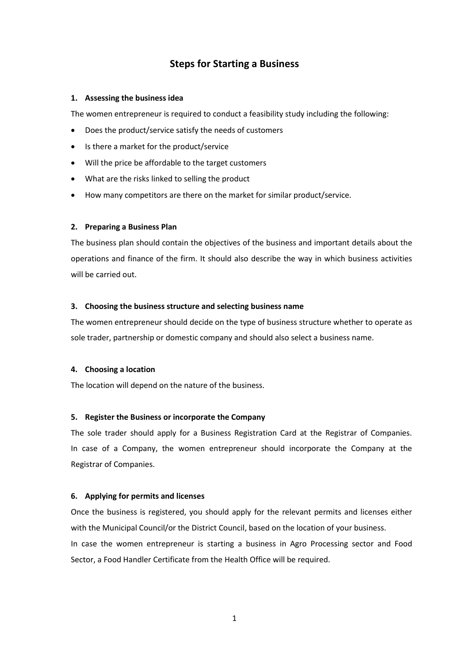# **Steps for Starting a Business**

### **1. Assessing the business idea**

The women entrepreneur is required to conduct a feasibility study including the following:

- Does the product/service satisfy the needs of customers
- Is there a market for the product/service
- Will the price be affordable to the target customers
- What are the risks linked to selling the product
- How many competitors are there on the market for similar product/service.

### **2. Preparing a Business Plan**

The business plan should contain the objectives of the business and important details about the operations and finance of the firm. It should also describe the way in which business activities will be carried out.

#### **3. Choosing the business structure and selecting business name**

The women entrepreneur should decide on the type of business structure whether to operate as sole trader, partnership or domestic company and should also select a business name.

### **4. Choosing a location**

The location will depend on the nature of the business.

### **5. Register the Business or incorporate the Company**

The sole trader should apply for a Business Registration Card at the Registrar of Companies. In case of a Company, the women entrepreneur should incorporate the Company at the Registrar of Companies.

### **6. Applying for permits and licenses**

Once the business is registered, you should apply for the relevant permits and licenses either with the Municipal Council/or the District Council, based on the location of your business. In case the women entrepreneur is starting a business in Agro Processing sector and Food Sector, a Food Handler Certificate from the Health Office will be required.